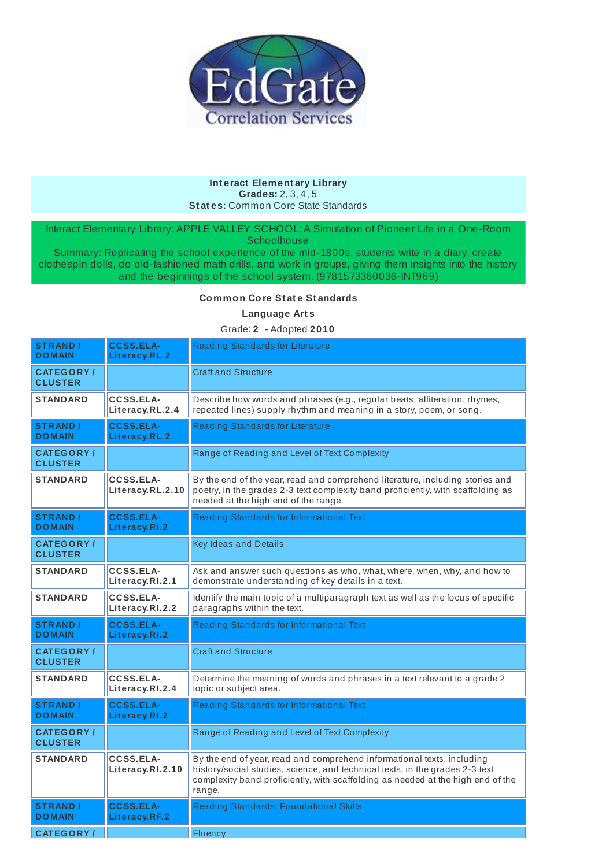

#### **Int eract Element ary Library Grades:** 2, 3, 4, 5 **St at es:** Common Core State Standards

Interact Elementary Library: APPLE VALLEY SCHOOL: A Simulation of Pioneer Life in a One-Room **Schoolhouse** 

Summary: Replicating the school experience of the mid-1800s, students write in a diary, create clothespin dolls, do old-fashioned math drills, and work in groups, giving them insights into the history and the beginnings of the school system. (9781573360036-INT969)

### **Common Core St at e St andards**

#### **Language Art s**

Grade: **2** - Adopted **2010**

| <b>STRAND /</b><br><b>DOMAIN</b>   | <b>CCSS.ELA-</b><br>Literacy.RL.2   | <b>Reading Standards for Literature</b>                                                                                                                                                                                                             |
|------------------------------------|-------------------------------------|-----------------------------------------------------------------------------------------------------------------------------------------------------------------------------------------------------------------------------------------------------|
| <b>CATEGORY/</b><br><b>CLUSTER</b> |                                     | <b>Craft and Structure</b>                                                                                                                                                                                                                          |
| <b>STANDARD</b>                    | CCSS.ELA-<br>Literacy.RL.2.4        | Describe how words and phrases (e.g., regular beats, alliteration, rhymes,<br>repeated lines) supply rhythm and meaning in a story, poem, or song.                                                                                                  |
| <b>STRAND /</b><br><b>DOMAIN</b>   | <b>CCSS.ELA-</b><br>Literacy.RL.2   | <b>Reading Standards for Literature</b>                                                                                                                                                                                                             |
| <b>CATEGORY/</b><br><b>CLUSTER</b> |                                     | Range of Reading and Level of Text Complexity                                                                                                                                                                                                       |
| <b>STANDARD</b>                    | CCSS.ELA-<br>Literacy.RL.2.10       | By the end of the year, read and comprehend literature, including stories and<br>poetry, in the grades 2-3 text complexity band proficiently, with scaffolding as<br>needed at the high end of the range.                                           |
| <b>STRAND /</b><br><b>DOMAIN</b>   | <b>CCSS.ELA-</b><br>Literacy.RI.2   | Reading Standards for Informational Text                                                                                                                                                                                                            |
| <b>CATEGORY/</b><br><b>CLUSTER</b> |                                     | <b>Key Ideas and Details</b>                                                                                                                                                                                                                        |
| <b>STANDARD</b>                    | <b>CCSS.ELA-</b><br>Literacy.RI.2.1 | Ask and answer such questions as who, what, where, when, why, and how to<br>demonstrate understanding of key details in a text.                                                                                                                     |
| <b>STANDARD</b>                    | <b>CCSS.ELA-</b><br>Literacy.RI.2.2 | Identify the main topic of a multiparagraph text as well as the focus of specific<br>paragraphs within the text.                                                                                                                                    |
| <b>STRAND /</b><br><b>DOMAIN</b>   | <b>CCSS.ELA-</b><br>Literacy.RI.2   | Reading Standards for Informational Text                                                                                                                                                                                                            |
| <b>CATEGORY/</b><br><b>CLUSTER</b> |                                     | <b>Craft and Structure</b>                                                                                                                                                                                                                          |
| <b>STANDARD</b>                    | <b>CCSS.ELA-</b><br>Literacy.RI.2.4 | Determine the meaning of words and phrases in a text relevant to a grade 2<br>topic or subject area.                                                                                                                                                |
| <b>STRAND /</b><br><b>DOMAIN</b>   | <b>CCSS.ELA-</b><br>Literacy.RI.2   | Reading Standards for Informational Text                                                                                                                                                                                                            |
| <b>CATEGORY/</b><br><b>CLUSTER</b> |                                     | Range of Reading and Level of Text Complexity                                                                                                                                                                                                       |
| <b>STANDARD</b>                    | CCSS.ELA-<br>Literacy.RI.2.10       | By the end of year, read and comprehend informational texts, including<br>history/social studies, science, and technical texts, in the grades 2-3 text<br>complexity band proficiently, with scaffolding as needed at the high end of the<br>range. |
| <b>STRAND /</b><br><b>DOMAIN</b>   | <b>CCSS.ELA-</b><br>Literacy.RF.2   | <b>Reading Standards: Foundational Skills</b>                                                                                                                                                                                                       |
| <b>CATEGORY</b> /                  |                                     | Fluency                                                                                                                                                                                                                                             |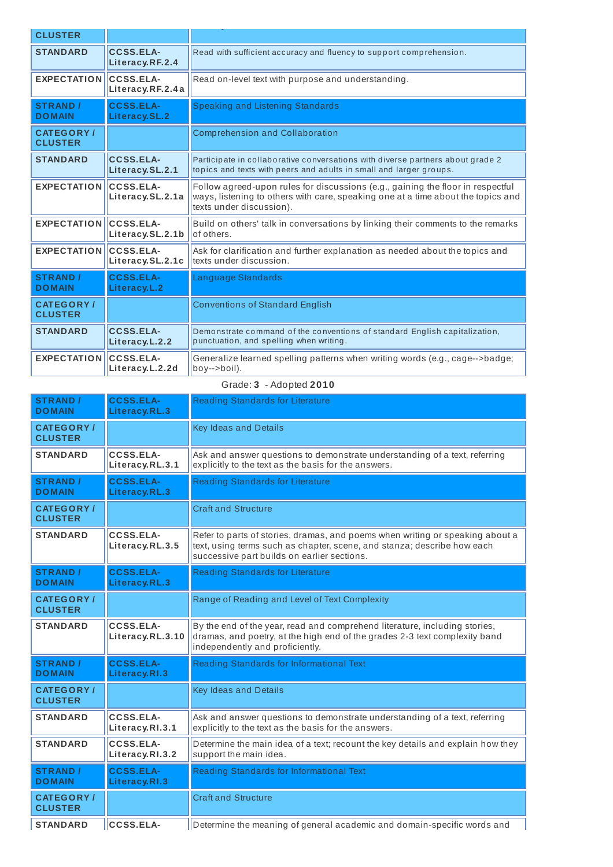| <b>CLUSTER</b>                     |                                      |                                                                                                                                                                                                 |
|------------------------------------|--------------------------------------|-------------------------------------------------------------------------------------------------------------------------------------------------------------------------------------------------|
| <b>STANDARD</b>                    | <b>CCSS.ELA-</b><br>Literacy.RF.2.4  | Read with sufficient accuracy and fluency to support comprehension.                                                                                                                             |
| <b>EXPECTATION</b>                 | <b>CCSS.ELA-</b><br>Literacy.RF.2.4a | Read on-level text with purpose and understanding.                                                                                                                                              |
| <b>STRAND /</b><br><b>DOMAIN</b>   | <b>CCSS.ELA-</b><br>Literacy.SL.2    | <b>Speaking and Listening Standards</b>                                                                                                                                                         |
| <b>CATEGORY/</b><br><b>CLUSTER</b> |                                      | <b>Comprehension and Collaboration</b>                                                                                                                                                          |
| <b>STANDARD</b>                    | <b>CCSS.ELA-</b><br>Literacy.SL.2.1  | Participate in collaborative conversations with diverse partners about grade 2<br>topics and texts with peers and adults in small and larger groups.                                            |
| <b>EXPECTATION</b>                 | CCSS.ELA-<br>Literacy.SL.2.1a        | Follow agreed-upon rules for discussions (e.g., gaining the floor in respectful<br>ways, listening to others with care, speaking one at a time about the topics and<br>texts under discussion). |
| <b>EXPECTATION</b>                 | CCSS.ELA-<br>Literacy.SL.2.1b        | Build on others' talk in conversations by linking their comments to the remarks<br>of others.                                                                                                   |
| <b>EXPECTATION CCSS.ELA-</b>       | Literacy.SL.2.1c                     | Ask for clarification and further explanation as needed about the topics and<br>texts under discussion.                                                                                         |
| <b>STRAND /</b><br><b>DOMAIN</b>   | <b>CCSS.ELA-</b><br>Literacy.L.2     | Language Standards                                                                                                                                                                              |
| <b>CATEGORY/</b><br><b>CLUSTER</b> |                                      | <b>Conventions of Standard English</b>                                                                                                                                                          |
| <b>STANDARD</b>                    | <b>CCSS.ELA-</b><br>Literacy.L.2.2   | Demonstrate command of the conventions of standard English capitalization,<br>punctuation, and spelling when writing.                                                                           |
| <b>EXPECTATION</b>                 | CCSS.ELA-<br>Literacy.L.2.2d         | Generalize learned spelling patterns when writing words (e.g., cage-->badge;<br>boy-->boil).                                                                                                    |

## Grade: **3** - Adopted **2010**

| <b>STRAND /</b><br><b>DOMAIN</b>    | <b>CCSS.ELA-</b><br>Literacy.RL.3   | Reading Standards for Literature                                                                                                                                                                        |
|-------------------------------------|-------------------------------------|---------------------------------------------------------------------------------------------------------------------------------------------------------------------------------------------------------|
| <b>CATEGORY</b> /<br><b>CLUSTER</b> |                                     | Key Ideas and Details                                                                                                                                                                                   |
| <b>STANDARD</b>                     | <b>CCSS.ELA-</b><br>Literacy.RL.3.1 | Ask and answer questions to demonstrate understanding of a text, referring<br>explicitly to the text as the basis for the answers.                                                                      |
| <b>STRAND /</b><br><b>DOMAIN</b>    | <b>CCSS.ELA-</b><br>Literacy.RL.3   | Reading Standards for Literature                                                                                                                                                                        |
| <b>CATEGORY/</b><br><b>CLUSTER</b>  |                                     | <b>Craft and Structure</b>                                                                                                                                                                              |
| <b>STANDARD</b>                     | CCSS.ELA-<br>Literacy.RL.3.5        | Refer to parts of stories, dramas, and poems when writing or speaking about a<br>text, using terms such as chapter, scene, and stanza; describe how each<br>successive part builds on earlier sections. |
| <b>STRAND /</b><br><b>DOMAIN</b>    | <b>CCSS.ELA-</b><br>Literacy.RL.3   | Reading Standards for Literature                                                                                                                                                                        |
| <b>CATEGORY/</b><br><b>CLUSTER</b>  |                                     | Range of Reading and Level of Text Complexity                                                                                                                                                           |
| <b>STANDARD</b>                     | CCSS.ELA-<br>Literacy.RL.3.10       | By the end of the year, read and comprehend literature, including stories,<br>dramas, and poetry, at the high end of the grades 2-3 text complexity band<br>independently and proficiently.             |
| <b>STRAND /</b><br><b>DOMAIN</b>    | <b>CCSS.ELA-</b>                    | Reading Standards for Informational Text                                                                                                                                                                |
|                                     | Literacy.RI.3                       |                                                                                                                                                                                                         |
| <b>CATEGORY/</b><br><b>CLUSTER</b>  |                                     | Key Ideas and Details                                                                                                                                                                                   |
| <b>STANDARD</b>                     | CCSS.ELA-<br>Literacy.RI.3.1        | Ask and answer questions to demonstrate understanding of a text, referring<br>explicitly to the text as the basis for the answers.                                                                      |
| <b>STANDARD</b>                     | <b>CCSS.ELA-</b><br>Literacy.RI.3.2 | Determine the main idea of a text; recount the key details and explain how they<br>support the main idea.                                                                                               |
| <b>STRAND /</b><br><b>DOMAIN</b>    | <b>CCSS.ELA-</b><br>Literacy.RI.3   | Reading Standards for Informational Text                                                                                                                                                                |
| <b>CATEGORY/</b><br><b>CLUSTER</b>  |                                     | <b>Craft and Structure</b>                                                                                                                                                                              |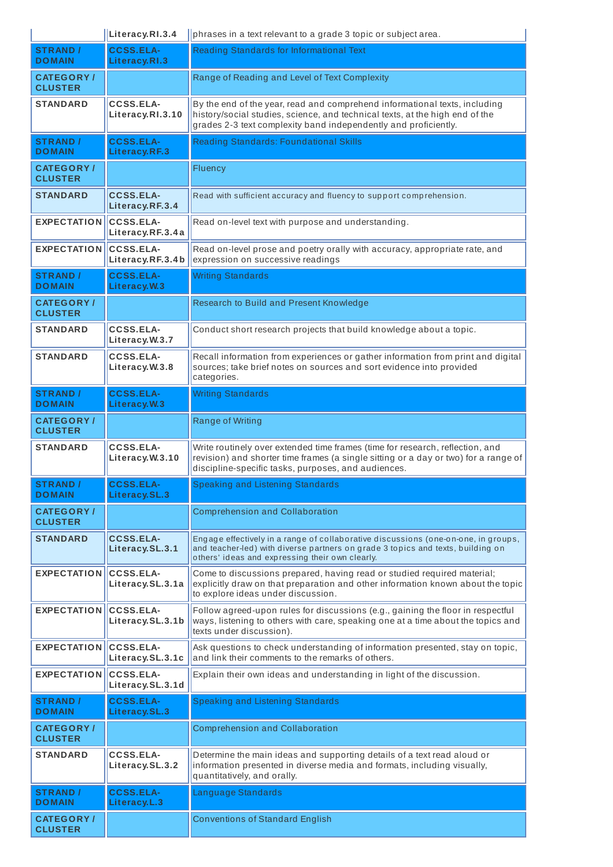|                                     | Literacy.RI.3.4                      | phrases in a text relevant to a grade 3 topic or subject area.                                                                                                                                                                |
|-------------------------------------|--------------------------------------|-------------------------------------------------------------------------------------------------------------------------------------------------------------------------------------------------------------------------------|
| <b>STRAND</b> /<br><b>DOMAIN</b>    | <b>CCSS.ELA-</b><br>Literacy.RI.3    | Reading Standards for Informational Text                                                                                                                                                                                      |
| <b>CATEGORY</b> /<br><b>CLUSTER</b> |                                      | Range of Reading and Level of Text Complexity                                                                                                                                                                                 |
| <b>STANDARD</b>                     | <b>CCSS.ELA-</b><br>Literacy.RI.3.10 | By the end of the year, read and comprehend informational texts, including<br>history/social studies, science, and technical texts, at the high end of the<br>grades 2-3 text complexity band independently and proficiently. |
| <b>STRAND /</b><br><b>DOMAIN</b>    | <b>CCSS.ELA-</b><br>Literacy.RF.3    | <b>Reading Standards: Foundational Skills</b>                                                                                                                                                                                 |
| <b>CATEGORY/</b><br><b>CLUSTER</b>  |                                      | Fluency                                                                                                                                                                                                                       |
| <b>STANDARD</b>                     | <b>CCSS.ELA-</b><br>Literacy.RF.3.4  | Read with sufficient accuracy and fluency to support comprehension.                                                                                                                                                           |
| <b>EXPECTATION</b>                  | <b>CCSS.ELA-</b><br>Literacy.RF.3.4a | Read on-level text with purpose and understanding.                                                                                                                                                                            |
| <b>EXPECTATION</b>                  | CCSS.ELA-<br>Literacy.RF.3.4b        | Read on-level prose and poetry orally with accuracy, appropriate rate, and<br>expression on successive readings                                                                                                               |
| <b>STRAND /</b><br><b>DOMAIN</b>    | <b>CCSS.ELA-</b><br>Literacy.W.3     | <b>Writing Standards</b>                                                                                                                                                                                                      |
| <b>CATEGORY/</b><br><b>CLUSTER</b>  |                                      | Research to Build and Present Knowledge                                                                                                                                                                                       |
| <b>STANDARD</b>                     | <b>CCSS.ELA-</b><br>Literacy.W.3.7   | Conduct short research projects that build knowledge about a topic.                                                                                                                                                           |
| <b>STANDARD</b>                     | <b>CCSS.ELA-</b><br>Literacy.W.3.8   | Recall information from experiences or gather information from print and digital<br>sources; take brief notes on sources and sort evidence into provided<br>categories.                                                       |
| <b>STRAND /</b><br><b>DOMAIN</b>    | <b>CCSS.ELA-</b><br>Literacy.W.3     | <b>Writing Standards</b>                                                                                                                                                                                                      |
| <b>CATEGORY/</b><br><b>CLUSTER</b>  |                                      | Range of Writing                                                                                                                                                                                                              |
| <b>STANDARD</b>                     | <b>CCSS.ELA-</b><br>Literacy.W.3.10  | Write routinely over extended time frames (time for research, reflection, and<br>revision) and shorter time frames (a single sitting or a day or two) for a range of<br>discipline-specific tasks, purposes, and audiences.   |
| <b>STRAND /</b><br><b>DOMAIN</b>    | <b>CCSS.ELA-</b><br>Literacy.SL.3    | Speaking and Listening Standards                                                                                                                                                                                              |
| <b>CATEGORY/</b><br><b>CLUSTER</b>  |                                      | <b>Comprehension and Collaboration</b>                                                                                                                                                                                        |
| <b>STANDARD</b>                     | <b>CCSS.ELA-</b><br>Literacy.SL.3.1  | Engage effectively in a range of collaborative discussions (one-on-one, in groups,<br>and teacher-led) with diverse partners on grade 3 topics and texts, building on<br>others' ideas and expressing their own clearly.      |
| <b>EXPECTATION</b>                  | <b>CCSS.ELA-</b><br>Literacy.SL.3.1a | Come to discussions prepared, having read or studied required material;<br>explicitly draw on that preparation and other information known about the topic<br>to explore ideas under discussion.                              |
| <b>EXPECTATION</b>                  | <b>CCSS.ELA-</b><br>Literacy.SL.3.1b | Follow agreed-upon rules for discussions (e.g., gaining the floor in respectful<br>ways, listening to others with care, speaking one at a time about the topics and<br>texts under discussion).                               |
| <b>EXPECTATION</b>                  | <b>CCSS.ELA-</b><br>Literacy.SL.3.1c | Ask questions to check understanding of information presented, stay on topic,<br>and link their comments to the remarks of others.                                                                                            |
| <b>EXPECTATION</b>                  | <b>CCSS.ELA-</b><br>Literacy.SL.3.1d | Explain their own ideas and understanding in light of the discussion.                                                                                                                                                         |
| <b>STRAND /</b><br><b>DOMAIN</b>    | <b>CCSS.ELA-</b><br>Literacy.SL.3    | <b>Speaking and Listening Standards</b>                                                                                                                                                                                       |
| <b>CATEGORY/</b><br><b>CLUSTER</b>  |                                      | <b>Comprehension and Collaboration</b>                                                                                                                                                                                        |
| <b>STANDARD</b>                     | <b>CCSS.ELA-</b><br>Literacy.SL.3.2  | Determine the main ideas and supporting details of a text read aloud or<br>information presented in diverse media and formats, including visually,<br>quantitatively, and orally.                                             |
| <b>STRAND /</b><br><b>DOMAIN</b>    | <b>CCSS.ELA-</b><br>Literacy.L.3     | Language Standards                                                                                                                                                                                                            |
| <b>CATEGORY/</b><br><b>CLUSTER</b>  |                                      | <b>Conventions of Standard English</b>                                                                                                                                                                                        |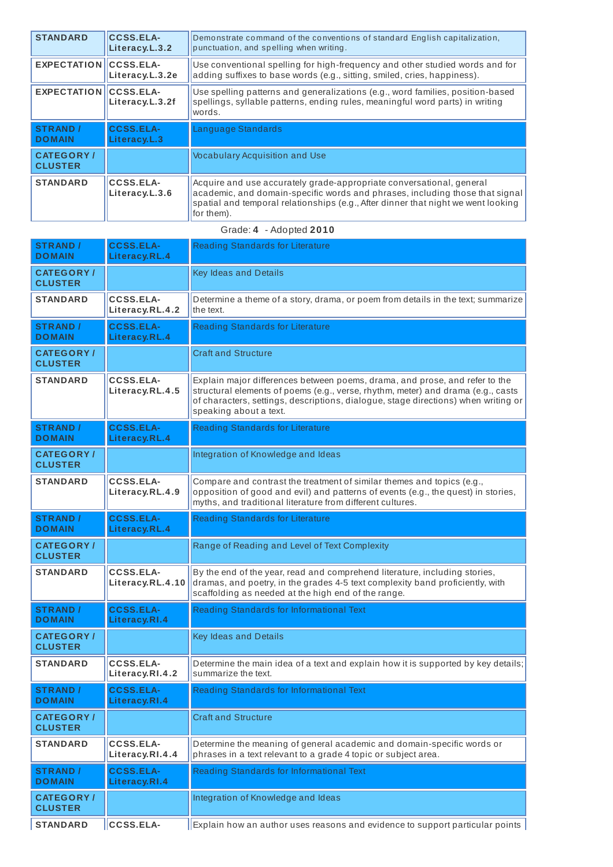| <b>STANDARD</b>                    | <b>CCSS.ELA-</b><br>Literacy.L.3.2 | Demonstrate command of the conventions of standard English capitalization,<br>punctuation, and spelling when writing.                                                                                                                                   |
|------------------------------------|------------------------------------|---------------------------------------------------------------------------------------------------------------------------------------------------------------------------------------------------------------------------------------------------------|
| <b>EXPECTATION CCSS.ELA-</b>       | Literacy.L.3.2e                    | Use conventional spelling for high-frequency and other studied words and for<br>adding suffixes to base words (e.g., sitting, smiled, cries, happiness).                                                                                                |
| <b>EXPECTATION CCSS.ELA-</b>       | Literacy.L.3.2f                    | Use spelling patterns and generalizations (e.g., word families, position-based<br>spellings, syllable patterns, ending rules, meaningful word parts) in writing<br>words.                                                                               |
| <b>STRAND /</b><br><b>DOMAIN</b>   | <b>CCSS.ELA-</b><br>Literacy.L.3   | Language Standards                                                                                                                                                                                                                                      |
| <b>CATEGORY/</b><br><b>CLUSTER</b> |                                    | <b>Vocabulary Acquisition and Use</b>                                                                                                                                                                                                                   |
| <b>STANDARD</b>                    | CCSS.ELA-<br>Literacy.L.3.6        | Acquire and use accurately grade-appropriate conversational, general<br>academic, and domain-specific words and phrases, including those that signal<br>spatial and temporal relationships (e.g., After dinner that night we went looking<br>for them). |

Grade: **4** - Adopted **2010**

| <b>STRAND /</b><br><b>DOMAIN</b>   | <b>CCSS.ELA-</b><br>Literacy.RL.4    | Reading Standards for Literature                                                                                                                                                                                                                                                |
|------------------------------------|--------------------------------------|---------------------------------------------------------------------------------------------------------------------------------------------------------------------------------------------------------------------------------------------------------------------------------|
| <b>CATEGORY/</b><br><b>CLUSTER</b> |                                      | Key Ideas and Details                                                                                                                                                                                                                                                           |
| <b>STANDARD</b>                    | <b>CCSS.ELA-</b><br>Literacy.RL.4.2  | Determine a theme of a story, drama, or poem from details in the text; summarize<br>the text.                                                                                                                                                                                   |
| <b>STRAND /</b><br><b>DOMAIN</b>   | <b>CCSS.ELA-</b><br>Literacy.RL.4    | Reading Standards for Literature                                                                                                                                                                                                                                                |
| <b>CATEGORY/</b><br><b>CLUSTER</b> |                                      | <b>Craft and Structure</b>                                                                                                                                                                                                                                                      |
| <b>STANDARD</b>                    | CCSS.ELA-<br>Literacy.RL.4.5         | Explain major differences between poems, drama, and prose, and refer to the<br>structural elements of poems (e.g., verse, rhythm, meter) and drama (e.g., casts<br>of characters, settings, descriptions, dialogue, stage directions) when writing or<br>speaking about a text. |
| <b>STRAND /</b><br><b>DOMAIN</b>   | <b>CCSS.ELA-</b><br>Literacy.RL.4    | <b>Reading Standards for Literature</b>                                                                                                                                                                                                                                         |
| <b>CATEGORY/</b><br><b>CLUSTER</b> |                                      | Integration of Knowledge and Ideas                                                                                                                                                                                                                                              |
| <b>STANDARD</b>                    | <b>CCSS.ELA-</b><br>Literacy.RL.4.9  | Compare and contrast the treatment of similar themes and topics (e.g.,<br>opposition of good and evil) and patterns of events (e.g., the quest) in stories,<br>myths, and traditional literature from different cultures.                                                       |
| <b>STRAND /</b><br><b>DOMAIN</b>   | <b>CCSS.ELA-</b><br>Literacy.RL.4    | Reading Standards for Literature                                                                                                                                                                                                                                                |
| <b>CATEGORY/</b><br><b>CLUSTER</b> |                                      | Range of Reading and Level of Text Complexity                                                                                                                                                                                                                                   |
| <b>STANDARD</b>                    | <b>CCSS.ELA-</b><br>Literacy.RL.4.10 | By the end of the year, read and comprehend literature, including stories,<br>dramas, and poetry, in the grades 4-5 text complexity band proficiently, with<br>scaffolding as needed at the high end of the range.                                                              |
| <b>STRAND /</b><br><b>DOMAIN</b>   | <b>CCSS.ELA-</b><br>Literacy.RI.4    | Reading Standards for Informational Text                                                                                                                                                                                                                                        |
| <b>CATEGORY/</b><br><b>CLUSTER</b> |                                      | Key Ideas and Details                                                                                                                                                                                                                                                           |
| <b>STANDARD</b>                    | <b>CCSS.ELA-</b><br>Literacy.RI.4.2  | Determine the main idea of a text and explain how it is supported by key details;<br>summarize the text.                                                                                                                                                                        |
| <b>STRAND /</b><br><b>DOMAIN</b>   | <b>CCSS.ELA-</b><br>Literacy.RI.4    | <b>Reading Standards for Informational Text</b>                                                                                                                                                                                                                                 |
| <b>CATEGORY/</b><br><b>CLUSTER</b> |                                      | <b>Craft and Structure</b>                                                                                                                                                                                                                                                      |
| <b>STANDARD</b>                    | <b>CCSS.ELA-</b><br>Literacy.RI.4.4  | Determine the meaning of general academic and domain-specific words or<br>phrases in a text relevant to a grade 4 topic or subject area.                                                                                                                                        |
| <b>STRAND /</b><br><b>DOMAIN</b>   | <b>CCSS.ELA-</b><br>Literacy.RI.4    | Reading Standards for Informational Text                                                                                                                                                                                                                                        |
| <b>CATEGORY/</b><br><b>CLUSTER</b> |                                      | Integration of Knowledge and Ideas                                                                                                                                                                                                                                              |

**STANDARD CCSS.ELA-** Explain how an author uses reasons and evidence to support particular points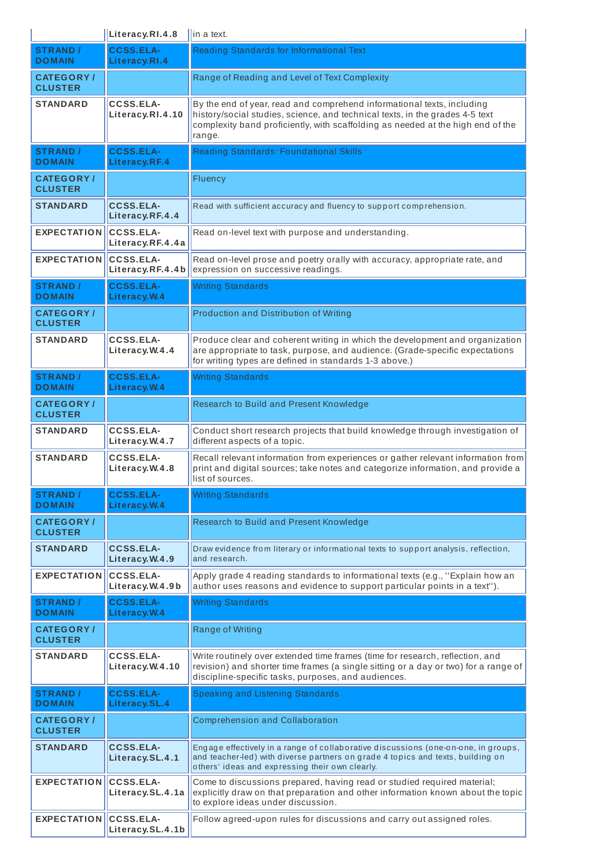|                                     | Literacy.RI.4.8                      | $\ $ in a text.                                                                                                                                                                                                                                     |
|-------------------------------------|--------------------------------------|-----------------------------------------------------------------------------------------------------------------------------------------------------------------------------------------------------------------------------------------------------|
| <b>STRAND /</b><br><b>DOMAIN</b>    | <b>CCSS.ELA-</b><br>Literacy.RI.4    | Reading Standards for Informational Text                                                                                                                                                                                                            |
| <b>CATEGORY/</b><br><b>CLUSTER</b>  |                                      | Range of Reading and Level of Text Complexity                                                                                                                                                                                                       |
| <b>STANDARD</b>                     | <b>CCSS.ELA-</b><br>Literacy.RI.4.10 | By the end of year, read and comprehend informational texts, including<br>history/social studies, science, and technical texts, in the grades 4-5 text<br>complexity band proficiently, with scaffolding as needed at the high end of the<br>range. |
| <b>STRAND /</b><br><b>DOMAIN</b>    | <b>CCSS.ELA-</b><br>Literacy.RF.4    | <b>Reading Standards: Foundational Skills</b>                                                                                                                                                                                                       |
| <b>CATEGORY/</b><br><b>CLUSTER</b>  |                                      | Fluency                                                                                                                                                                                                                                             |
| <b>STANDARD</b>                     | <b>CCSS.ELA-</b><br>Literacy.RF.4.4  | Read with sufficient accuracy and fluency to support comprehension.                                                                                                                                                                                 |
| <b>EXPECTATION</b>                  | <b>CCSS.ELA-</b><br>Literacy.RF.4.4a | Read on-level text with purpose and understanding.                                                                                                                                                                                                  |
| <b>EXPECTATION</b>                  | <b>CCSS.ELA-</b><br>Literacy.RF.4.4b | Read on-level prose and poetry orally with accuracy, appropriate rate, and<br>expression on successive readings.                                                                                                                                    |
| <b>STRAND /</b><br><b>DOMAIN</b>    | <b>CCSS.ELA-</b><br>Literacy.W.4     | <b>Writing Standards</b>                                                                                                                                                                                                                            |
| <b>CATEGORY</b> /<br><b>CLUSTER</b> |                                      | <b>Production and Distribution of Writing</b>                                                                                                                                                                                                       |
| <b>STANDARD</b>                     | <b>CCSS.ELA-</b><br>Literacy.W.4.4   | Produce clear and coherent writing in which the development and organization<br>are appropriate to task, purpose, and audience. (Grade-specific expectations<br>for writing types are defined in standards 1-3 above.)                              |
| <b>STRAND /</b><br><b>DOMAIN</b>    | <b>CCSS.ELA-</b><br>Literacy.W.4     | <b>Writing Standards</b>                                                                                                                                                                                                                            |
| <b>CATEGORY</b> /<br><b>CLUSTER</b> |                                      | Research to Build and Present Knowledge                                                                                                                                                                                                             |
| <b>STANDARD</b>                     | CCSS.ELA-<br>Literacy.W.4.7          | Conduct short research projects that build knowledge through investigation of<br>different aspects of a topic.                                                                                                                                      |
| <b>STANDARD</b>                     | <b>CCSS.ELA-</b><br>Literacy.W.4.8   | Recall relevant information from experiences or gather relevant information from<br>print and digital sources; take notes and categorize information, and provide a<br>list of sources.                                                             |
| <b>STRAND /</b><br><b>DOMAIN</b>    | <b>CCSS.ELA-</b><br>Literacy. W.4    | <b>Writing Standards</b>                                                                                                                                                                                                                            |
| <b>CATEGORY</b> /<br><b>CLUSTER</b> |                                      | Research to Build and Present Knowledge                                                                                                                                                                                                             |
| <b>STANDARD</b>                     | <b>CCSS.ELA-</b><br>Literacy.W.4.9   | Draw evidence from literary or informational texts to support analysis, reflection,<br>and research.                                                                                                                                                |
| <b>EXPECTATION</b>                  | <b>CCSS.ELA-</b><br>Literacy.W.4.9b  | Apply grade 4 reading standards to informational texts (e.g., "Explain how an<br>author uses reasons and evidence to support particular points in a text").                                                                                         |
| <b>STRAND /</b><br><b>DOMAIN</b>    | <b>CCSS.ELA-</b><br>Literacy.W.4     | <b>Writing Standards</b>                                                                                                                                                                                                                            |
| <b>CATEGORY/</b><br><b>CLUSTER</b>  |                                      | Range of Writing                                                                                                                                                                                                                                    |
| <b>STANDARD</b>                     | <b>CCSS.ELA-</b><br>Literacy.W.4.10  | Write routinely over extended time frames (time for research, reflection, and<br>revision) and shorter time frames (a single sitting or a day or two) for a range of<br>discipline-specific tasks, purposes, and audiences.                         |
| <b>STRAND /</b><br><b>DOMAIN</b>    | <b>CCSS.ELA-</b><br>Literacy.SL.4    | Speaking and Listening Standards                                                                                                                                                                                                                    |
| <b>CATEGORY/</b><br><b>CLUSTER</b>  |                                      | <b>Comprehension and Collaboration</b>                                                                                                                                                                                                              |
| <b>STANDARD</b>                     | <b>CCSS.ELA-</b><br>Literacy.SL.4.1  | Engage effectively in a range of collaborative discussions (one-on-one, in groups,<br>and teacher-led) with diverse partners on grade 4 topics and texts, building on<br>others' ideas and expressing their own clearly.                            |
| <b>EXPECTATION</b>                  | <b>CCSS.ELA-</b><br>Literacy.SL.4.1a | Come to discussions prepared, having read or studied required material;<br>explicitly draw on that preparation and other information known about the topic<br>to explore ideas under discussion.                                                    |
| <b>EXPECTATION</b>                  | <b>CCSS.ELA-</b><br>Literacy.SL.4.1b | Follow agreed-upon rules for discussions and carry out assigned roles.                                                                                                                                                                              |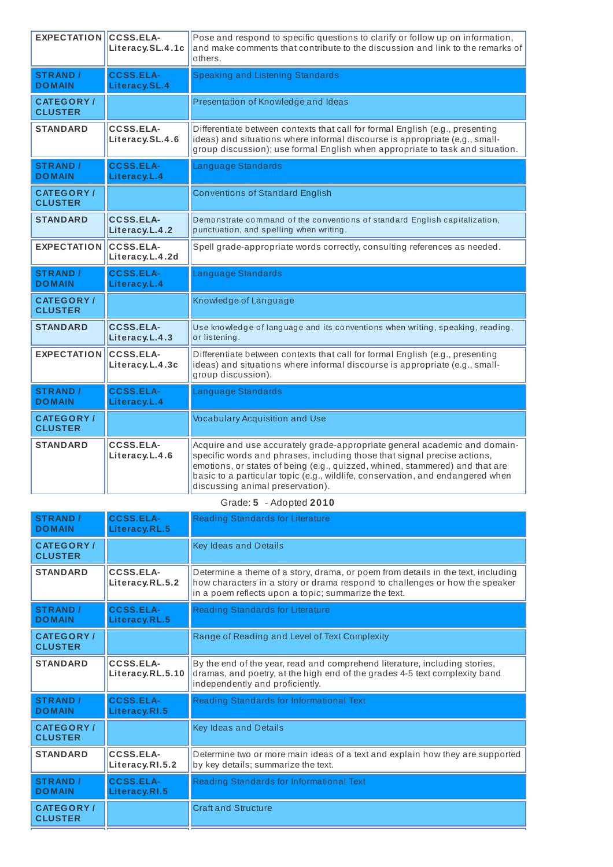| <b>EXPECTATION</b>                 | CCSS.ELA-<br>Literacy.SL.4.1c       | Pose and respond to specific questions to clarify or follow up on information,<br>and make comments that contribute to the discussion and link to the remarks of<br>others.                                                                   |
|------------------------------------|-------------------------------------|-----------------------------------------------------------------------------------------------------------------------------------------------------------------------------------------------------------------------------------------------|
| <b>STRAND /</b><br><b>DOMAIN</b>   | <b>CCSS.ELA-</b><br>Literacy.SL.4   | <b>Speaking and Listening Standards</b>                                                                                                                                                                                                       |
| <b>CATEGORY/</b><br><b>CLUSTER</b> |                                     | Presentation of Knowledge and Ideas                                                                                                                                                                                                           |
| <b>STANDARD</b>                    | CCSS.ELA-<br>Literacy.SL.4.6        | Differentiate between contexts that call for formal English (e.g., presenting<br>ideas) and situations where informal discourse is appropriate (e.g., small-<br>group discussion); use formal English when appropriate to task and situation. |
| <b>STRAND /</b><br><b>DOMAIN</b>   | <b>CCSS.ELA-</b><br>Literacy.L.4    | Language Standards                                                                                                                                                                                                                            |
| <b>CATEGORY/</b><br><b>CLUSTER</b> |                                     | <b>Conventions of Standard English</b>                                                                                                                                                                                                        |
| <b>STANDARD</b>                    | <b>CCSS.ELA-</b><br>Literacy.L.4.2  | Demonstrate command of the conventions of standard English capitalization,<br>punctuation, and spelling when writing.                                                                                                                         |
| <b>EXPECTATION</b>                 | <b>CCSS.ELA-</b><br>Literacy.L.4.2d | Spell grade-appropriate words correctly, consulting references as needed.                                                                                                                                                                     |
|                                    |                                     |                                                                                                                                                                                                                                               |
| <b>STRAND /</b><br><b>DOMAIN</b>   | <b>CCSS.ELA-</b><br>Literacy.L.4    | Language Standards                                                                                                                                                                                                                            |
| <b>CATEGORY/</b><br><b>CLUSTER</b> |                                     | Knowledge of Language                                                                                                                                                                                                                         |
| <b>STANDARD</b>                    | <b>CCSS.ELA-</b><br>Literacy.L.4.3  | Use knowledge of language and its conventions when writing, speaking, reading,<br>or listening.                                                                                                                                               |
| <b>EXPECTATION</b>                 | <b>CCSS.ELA-</b><br>Literacy.L.4.3c | Differentiate between contexts that call for formal English (e.g., presenting<br>ideas) and situations where informal discourse is appropriate (e.g., small-<br>group discussion).                                                            |
| <b>STRAND /</b><br><b>DOMAIN</b>   | <b>CCSS.ELA-</b><br>Literacy.L.4    | Language Standards                                                                                                                                                                                                                            |
| <b>CATEGORY/</b><br><b>CLUSTER</b> |                                     | <b>Vocabulary Acquisition and Use</b>                                                                                                                                                                                                         |

# Grade: **5** - Adopted **2010**

| <b>STRAND /</b><br><b>DOMAIN</b>   | <b>CCSS.ELA-</b><br>Literacy.RL.5 | <b>Reading Standards for Literature</b>                                                                                                                                                                                 |
|------------------------------------|-----------------------------------|-------------------------------------------------------------------------------------------------------------------------------------------------------------------------------------------------------------------------|
| <b>CATEGORY/</b><br><b>CLUSTER</b> |                                   | <b>Key Ideas and Details</b>                                                                                                                                                                                            |
| <b>STANDARD</b>                    | CCSS.ELA-<br>Literacy.RL.5.2      | Determine a theme of a story, drama, or poem from details in the text, including<br>how characters in a story or drama respond to challenges or how the speaker<br>in a poem reflects upon a topic; summarize the text. |
| <b>STRAND /</b><br><b>DOMAIN</b>   | <b>CCSS.ELA-</b><br>Literacy.RL.5 | Reading Standards for Literature                                                                                                                                                                                        |
| <b>CATEGORY/</b><br><b>CLUSTER</b> |                                   | Range of Reading and Level of Text Complexity                                                                                                                                                                           |
| <b>STANDARD</b>                    | CCSS.ELA-<br>Literacy.RL.5.10     | By the end of the year, read and comprehend literature, including stories,<br>dramas, and poetry, at the high end of the grades 4-5 text complexity band<br>independently and proficiently.                             |
| <b>STRAND /</b><br><b>DOMAIN</b>   | <b>CCSS.ELA-</b><br>Literacy.RI.5 | Reading Standards for Informational Text                                                                                                                                                                                |
| <b>CATEGORY/</b><br><b>CLUSTER</b> |                                   | Key Ideas and Details                                                                                                                                                                                                   |
| <b>STANDARD</b>                    | CCSS.ELA-<br>Literacy.RI.5.2      | Determine two or more main ideas of a text and explain how they are supported<br>by key details; summarize the text.                                                                                                    |
| <b>STRAND /</b><br><b>DOMAIN</b>   | <b>CCSS.ELA-</b><br>Literacy.RI.5 | Reading Standards for Informational Text                                                                                                                                                                                |
| <b>CATEGORY/</b><br><b>CLUSTER</b> |                                   | <b>Craft and Structure</b>                                                                                                                                                                                              |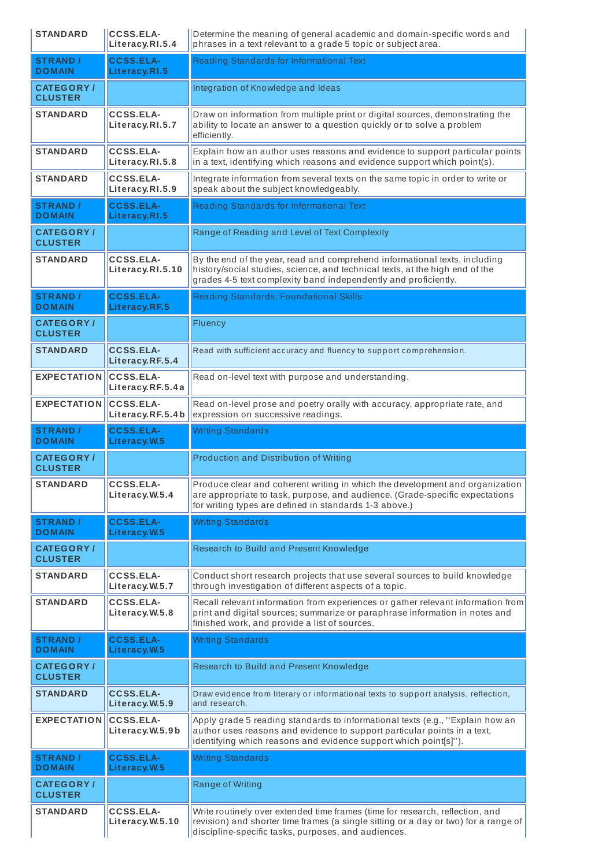| <b>STANDARD</b>                     | <b>CCSS.ELA-</b><br>Literacy.RI.5.4  | Determine the meaning of general academic and domain-specific words and<br>phrases in a text relevant to a grade 5 topic or subject area.                                                                                     |
|-------------------------------------|--------------------------------------|-------------------------------------------------------------------------------------------------------------------------------------------------------------------------------------------------------------------------------|
| <b>STRAND /</b><br><b>DOMAIN</b>    | <b>CCSS.ELA-</b><br>Literacy.RI.5    | Reading Standards for Informational Text                                                                                                                                                                                      |
| <b>CATEGORY /</b><br><b>CLUSTER</b> |                                      | Integration of Knowledge and Ideas                                                                                                                                                                                            |
| <b>STANDARD</b>                     | <b>CCSS.ELA-</b><br>Literacy.RI.5.7  | Draw on information from multiple print or digital sources, demonstrating the<br>ability to locate an answer to a question quickly or to solve a problem<br>efficiently.                                                      |
| <b>STANDARD</b>                     | <b>CCSS.ELA-</b><br>Literacy.RI.5.8  | Explain how an author uses reasons and evidence to support particular points<br>in a text, identifying which reasons and evidence support which point(s).                                                                     |
| <b>STANDARD</b>                     | <b>CCSS.ELA-</b><br>Literacy.RI.5.9  | Integrate information from several texts on the same topic in order to write or<br>speak about the subject knowledgeably.                                                                                                     |
| <b>STRAND /</b><br><b>DOMAIN</b>    | <b>CCSS.ELA-</b><br>Literacy.RI.5    | Reading Standards for Informational Text                                                                                                                                                                                      |
| <b>CATEGORY /</b><br><b>CLUSTER</b> |                                      | Range of Reading and Level of Text Complexity                                                                                                                                                                                 |
| <b>STANDARD</b>                     | <b>CCSS.ELA-</b><br>Literacy.RI.5.10 | By the end of the year, read and comprehend informational texts, including<br>history/social studies, science, and technical texts, at the high end of the<br>grades 4-5 text complexity band independently and proficiently. |
| <b>STRAND /</b><br><b>DOMAIN</b>    | <b>CCSS.ELA-</b><br>Literacy.RF.5    | <b>Reading Standards: Foundational Skills</b>                                                                                                                                                                                 |
| <b>CATEGORY /</b><br><b>CLUSTER</b> |                                      | Fluency                                                                                                                                                                                                                       |
| <b>STANDARD</b>                     | <b>CCSS.ELA-</b><br>Literacy.RF.5.4  | Read with sufficient accuracy and fluency to support comprehension.                                                                                                                                                           |
| <b>EXPECTATION</b>                  | <b>CCSS.ELA-</b><br>Literacy.RF.5.4a | Read on-level text with purpose and understanding.                                                                                                                                                                            |
| <b>EXPECTATION</b>                  | <b>CCSS.ELA-</b><br>Literacy.RF.5.4b | Read on-level prose and poetry orally with accuracy, appropriate rate, and<br>expression on successive readings.                                                                                                              |
| <b>STRAND /</b><br><b>DOMAIN</b>    | <b>CCSS.ELA-</b><br>Literacy.W.5     | <b>Writing Standards</b>                                                                                                                                                                                                      |
| <b>CATEGORY/</b><br><b>CLUSTER</b>  |                                      | Production and Distribution of Writing                                                                                                                                                                                        |
| <b>STANDARD</b>                     | <b>CCSS.ELA-</b><br>Literacy.W.5.4   | Produce clear and coherent writing in which the development and organization<br>are appropriate to task, purpose, and audience. (Grade-specific expectations<br>for writing types are defined in standards 1-3 above.)        |
| <b>STRAND /</b><br><b>DOMAIN</b>    |                                      |                                                                                                                                                                                                                               |
|                                     | <b>CCSS.ELA-</b><br>Literacy.W.5     | <b>Writing Standards</b>                                                                                                                                                                                                      |
| <b>CATEGORY/</b><br><b>CLUSTER</b>  |                                      | Research to Build and Present Knowledge                                                                                                                                                                                       |
| <b>STANDARD</b>                     | <b>CCSS.ELA-</b><br>Literacy.W.5.7   | Conduct short research projects that use several sources to build knowledge<br>through investigation of different aspects of a topic.                                                                                         |
| <b>STANDARD</b>                     | <b>CCSS.ELA-</b><br>Literacy.W.5.8   | Recall relevant information from experiences or gather relevant information from<br>print and digital sources; summarize or paraphrase information in notes and<br>finished work, and provide a list of sources.              |
| <b>STRAND /</b><br><b>DOMAIN</b>    | <b>CCSS.ELA-</b><br>Literacy.W.5     | <b>Writing Standards</b>                                                                                                                                                                                                      |
| <b>CATEGORY/</b><br><b>CLUSTER</b>  |                                      | Research to Build and Present Knowledge                                                                                                                                                                                       |
| <b>STANDARD</b>                     | <b>CCSS.ELA-</b><br>Literacy.W.5.9   | Draw evidence from literary or informational texts to support analysis, reflection,<br>and research.                                                                                                                          |
| <b>EXPECTATION</b>                  | <b>CCSS.ELA-</b><br>Literacy.W.5.9b  | Apply grade 5 reading standards to informational texts (e.g., "Explain how an<br>author uses reasons and evidence to support particular points in a text,<br>identifying which reasons and evidence support which point[s]"). |
| <b>STRAND /</b><br><b>DOMAIN</b>    | <b>CCSS.ELA-</b><br>Literacy.W.5     | <b>Writing Standards</b>                                                                                                                                                                                                      |
| <b>CATEGORY /</b><br><b>CLUSTER</b> |                                      | Range of Writing                                                                                                                                                                                                              |